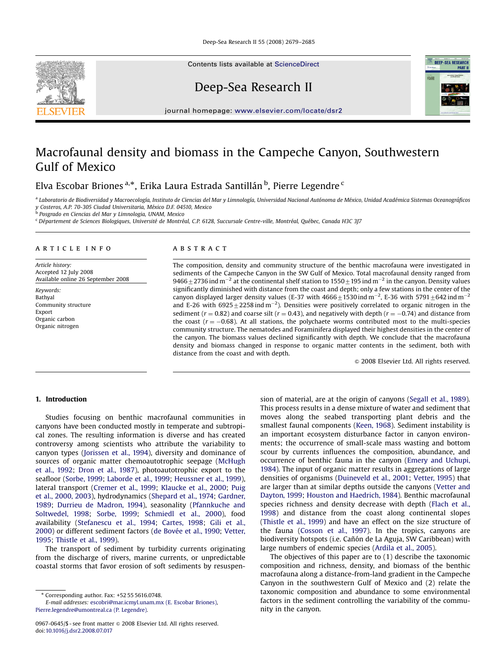Deep-Sea Research II 55 (2008) 2679–2685

Contents lists available at [ScienceDirect](www.sciencedirect.com/science/journal/dsrii)

Deep-Sea Research II



journal homepage: <www.elsevier.com/locate/dsr2>

# Macrofaunal density and biomass in the Campeche Canyon, Southwestern Gulf of Mexico

Elva Escobar Briones<sup>a,</sup>\*, Erika Laura Estrada Santillán<sup>b</sup>, Pierre Legendre<sup>c</sup>

a Laboratorio de Biodiversidad y Macroecología, Instituto de Ciencias del Mar y Limnología, Universidad Nacional Autónoma de México, Unidad Académica Sistemas Oceanográficos

y Costeros, A.P. 70-305 Ciudad Universitaria, México D.F. 04510, Mexico<br><sup>b</sup> Posgrado en Ciencias del Mar y Limnologia, UNAM, Mexico

<sup>c</sup> Département de Sciences Biologiques, Université de Montréal, C.P. 6128, Succursale Centre-ville, Montréal, Québec, Canada H3C 3J7

#### article info

Article history: Accepted 12 July 2008 Available online 26 September 2008

Keywords: Bathyal Community structure Export Organic carbon Organic nitrogen

# **ABSTRACT**

The composition, density and community structure of the benthic macrofauna were investigated in sediments of the Campeche Canyon in the SW Gulf of Mexico. Total macrofaunal density ranged from 9466 $\pm$ 2736 ind m $^{-2}$  at the continental shelf station to 1550 $\pm$ 195 ind m $^{-2}$  in the canyon. Density values significantly diminished with distance from the coast and depth; only a few stations in the center of the canyon displayed larger density values (E-37 with 4666 $\pm$ 1530 ind m<sup>-2</sup>, E-36 with 5791 $\pm$ 642 ind m<sup>-2</sup> and E-26 with  $6925 \pm 2258$  ind m<sup>-2</sup>). Densities were positively correlated to organic nitrogen in the sediment ( $r = 0.82$ ) and coarse silt ( $r = 0.43$ ), and negatively with depth ( $r = -0.74$ ) and distance from the coast  $(r = -0.68)$ . At all stations, the polychaete worms contributed most to the multi-species community structure. The nematodes and Foraminifera displayed their highest densities in the center of the canyon. The biomass values declined significantly with depth. We conclude that the macrofauna density and biomass changed in response to organic matter contents in the sediment, both with distance from the coast and with depth.

 $©$  2008 Elsevier Ltd. All rights reserved.

## 1. Introduction

Studies focusing on benthic macrofaunal communities in canyons have been conducted mostly in temperate and subtropical zones. The resulting information is diverse and has created controversy among scientists who attribute the variability to canyon types ([Jorissen et al., 1994](#page-6-0)), diversity and dominance of sources of organic matter chemoautotrophic seepage [\(McHugh](#page-6-0) [et al., 1992;](#page-6-0) [Dron et al., 1987](#page-6-0)), photoautotrophic export to the seafloor [\(Sorbe, 1999;](#page-6-0) [Laborde et al., 1999](#page-6-0); [Heussner et al., 1999\)](#page-6-0), lateral transport [\(Cremer et al., 1999](#page-6-0); [Klaucke et al., 2000;](#page-6-0) [Puig](#page-6-0) [et al., 2000, 2003](#page-6-0)), hydrodynamics [\(Shepard et al., 1974;](#page-6-0) [Gardner,](#page-6-0) [1989](#page-6-0); [Durrieu de Madron, 1994\)](#page-6-0), seasonality [\(Pfannkuche and](#page-6-0) [Soltwedel, 1998;](#page-6-0) [Sorbe, 1999;](#page-6-0) [Schmiedl et al., 2000](#page-6-0)), food availability [\(Stefanescu et al., 1994;](#page-6-0) [Cartes, 1998](#page-6-0); [Gili et al.,](#page-6-0) [2000](#page-6-0)) or different sediment factors (de Bovée et al., 1990; [Vetter,](#page-6-0) [1995](#page-6-0); [Thistle et al., 1999](#page-6-0)).

The transport of sediment by turbidity currents originating from the discharge of rivers, marine currents, or unpredictable coastal storms that favor erosion of soft sediments by resuspension of material, are at the origin of canyons [\(Segall et al., 1989\)](#page-6-0). This process results in a dense mixture of water and sediment that moves along the seabed transporting plant debris and the smallest faunal components [\(Keen, 1968\)](#page-6-0). Sediment instability is an important ecosystem disturbance factor in canyon environments; the occurrence of small-scale mass wasting and bottom scour by currents influences the composition, abundance, and occurrence of benthic fauna in the canyon [\(Emery and Uchupi,](#page-6-0) [1984](#page-6-0)). The input of organic matter results in aggregations of large densities of organisms [\(Duineveld et al., 2001](#page-6-0); [Vetter, 1995](#page-6-0)) that are larger than at similar depths outside the canyons [\(Vetter and](#page-6-0) [Dayton, 1999;](#page-6-0) [Houston and Haedrich, 1984\)](#page-6-0). Benthic macrofaunal species richness and density decrease with depth ([Flach et al.,](#page-6-0) [1998](#page-6-0)) and distance from the coast along continental slopes ([Thistle et al., 1999](#page-6-0)) and have an effect on the size structure of the fauna [\(Cosson et al., 1997](#page-6-0)). In the tropics, canyons are biodiversity hotspots (i.e. Cañón de La Aguja, SW Caribbean) with large numbers of endemic species ([Ardila et al., 2005](#page-6-0)).

The objectives of this paper are to (1) describe the taxonomic composition and richness, density, and biomass of the benthic macrofauna along a distance-from-land gradient in the Campeche Canyon in the southwestern Gulf of Mexico and (2) relate the taxonomic composition and abundance to some environmental factors in the sediment controlling the variability of the community in the canyon.

<sup>-</sup> Corresponding author. Fax: +52 55 5616.0748.

E-mail addresses: [escobri@mar.icmyl.unam.mx \(E. Escobar Briones\)](mailto:escobri@mar.icmyl.unam.mx), [Pierre.legendre@umontreal.ca \(P. Legendre\).](mailto:Pierre.legendre@umontreal.ca)

<sup>0967-0645/\$ -</sup> see front matter  $\circ$  2008 Elsevier Ltd. All rights reserved. doi:[10.1016/j.dsr2.2008.07.017](dx.doi.org/10.1016/j.dsr2.2008.07.017)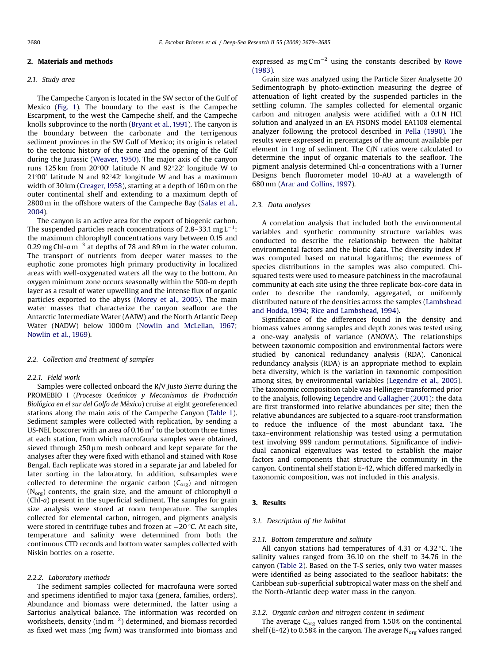## 2. Materials and methods

# 2.1. Study area

The Campeche Canyon is located in the SW sector of the Gulf of Mexico ([Fig. 1\)](#page-2-0). The boundary to the east is the Campeche Escarpment, to the west the Campeche shelf, and the Campeche knolls subprovince to the north [\(Bryant et al., 1991\)](#page-6-0). The canyon is the boundary between the carbonate and the terrigenous sediment provinces in the SW Gulf of Mexico; its origin is related to the tectonic history of the zone and the opening of the Gulf during the Jurassic [\(Weaver, 1950\)](#page-6-0). The major axis of the canyon runs 125 km from  $20^{\circ}00'$  latitude N and  $92^{\circ}22'$  longitude W to  $21^{\circ}00'$  latitude N and  $92^{\circ}42'$  longitude W and has a maximum width of 30 km [\(Creager, 1958](#page-6-0)), starting at a depth of 160 m on the outer continental shelf and extending to a maximum depth of 2800 m in the offshore waters of the Campeche Bay ([Salas et al.,](#page-6-0) [2004](#page-6-0)).

The canyon is an active area for the export of biogenic carbon. The suspended particles reach concentrations of 2.8–33.1  $\text{mgL}^{-1};$ the maximum chlorophyll concentrations vary between 0.15 and 0.29 mg Chl-a m $^{-3}$  at depths of 78 and 89 m in the water column. The transport of nutrients from deeper water masses to the euphotic zone promotes high primary productivity in localized areas with well-oxygenated waters all the way to the bottom. An oxygen minimum zone occurs seasonally within the 500-m depth layer as a result of water upwelling and the intense flux of organic particles exported to the abyss [\(Morey et al., 2005](#page-6-0)). The main water masses that characterize the canyon seafloor are the Antarctic Intermediate Water (AAIW) and the North Atlantic Deep Water (NADW) below 1000 m [\(Nowlin and McLellan, 1967;](#page-6-0) [Nowlin et al., 1969\)](#page-6-0).

#### 2.2. Collection and treatment of samples

### 2.2.1. Field work

Samples were collected onboard the R/V Justo Sierra during the PROMEBIO I (Procesos Oceánicos y Mecanismos de Producción Biológica en el sur del Golfo de México) cruise at eight georeferenced stations along the main axis of the Campeche Canyon ([Table 1\)](#page-2-0). Sediment samples were collected with replication, by sending a US-NEL boxcorer with an area of 0.16  $\text{m}^2$  to the bottom three times at each station, from which macrofauna samples were obtained, sieved through  $250 \mu m$  mesh onboard and kept separate for the analyses after they were fixed with ethanol and stained with Rose Bengal. Each replicate was stored in a separate jar and labeled for later sorting in the laboratory. In addition, subsamples were collected to determine the organic carbon  $(C_{org})$  and nitrogen ( $N_{org}$ ) contents, the grain size, and the amount of chlorophyll a (Chl-a) present in the superficial sediment. The samples for grain size analysis were stored at room temperature. The samples collected for elemental carbon, nitrogen, and pigments analysis were stored in centrifuge tubes and frozen at  $-20$  °C. At each site, temperature and salinity were determined from both the continuous CTD records and bottom water samples collected with Niskin bottles on a rosette.

#### 2.2.2. Laboratory methods

The sediment samples collected for macrofauna were sorted and specimens identified to major taxa (genera, families, orders). Abundance and biomass were determined, the latter using a Sartorius analytical balance. The information was recorded on worksheets, density (ind m $^{-2})$  determined, and biomass recorded as fixed wet mass (mg fwm) was transformed into biomass and

expressed as  $mgCm^{-2}$  using the constants described by [Rowe](#page-6-0) [\(1983\).](#page-6-0)

Grain size was analyzed using the Particle Sizer Analysette 20 Sedimentograph by photo-extinction measuring the degree of attenuation of light created by the suspended particles in the settling column. The samples collected for elemental organic carbon and nitrogen analysis were acidified with a 0.1 N HCl solution and analyzed in an EA FISONS model EA1108 elemental analyzer following the protocol described in [Pella \(1990\)](#page-6-0). The results were expressed in percentages of the amount available per element in 1 mg of sediment. The C/N ratios were calculated to determine the input of organic materials to the seafloor. The pigment analysis determined Chl-a concentrations with a Turner Designs bench fluorometer model 10-AU at a wavelength of 680 nm [\(Arar and Collins, 1997\)](#page-5-0).

#### 2.3. Data analyses

A correlation analysis that included both the environmental variables and synthetic community structure variables was conducted to describe the relationship between the habitat environmental factors and the biotic data. The diversity index  $H'$ was computed based on natural logarithms; the evenness of species distributions in the samples was also computed. Chisquared tests were used to measure patchiness in the macrofaunal community at each site using the three replicate box-core data in order to describe the randomly, aggregated, or uniformly distributed nature of the densities across the samples ([Lambshead](#page-6-0) [and Hodda, 1994;](#page-6-0) [Rice and Lambshead, 1994\)](#page-6-0).

Significance of the differences found in the density and biomass values among samples and depth zones was tested using a one-way analysis of variance (ANOVA). The relationships between taxonomic composition and environmental factors were studied by canonical redundancy analysis (RDA). Canonical redundancy analysis (RDA) is an appropriate method to explain beta diversity, which is the variation in taxonomic composition among sites, by environmental variables ([Legendre et al., 2005\)](#page-6-0). The taxonomic composition table was Hellinger-transformed prior to the analysis, following [Legendre and Gallagher \(2001\)](#page-6-0): the data are first transformed into relative abundances per site; then the relative abundances are subjected to a square-root transformation to reduce the influence of the most abundant taxa. The taxa–environment relationship was tested using a permutation test involving 999 random permutations. Significance of individual canonical eigenvalues was tested to establish the major factors and components that structure the community in the canyon. Continental shelf station E-42, which differed markedly in taxonomic composition, was not included in this analysis.

# 3. Results

#### 3.1. Description of the habitat

#### 3.1.1. Bottom temperature and salinity

All canyon stations had temperatures of 4.31 or 4.32  $\degree$ C. The salinity values ranged from 36.10 on the shelf to 34.76 in the canyon ([Table 2](#page-3-0)). Based on the T-S series, only two water masses were identified as being associated to the seafloor habitats: the Caribbean sub-superficial subtropical water mass on the shelf and the North-Atlantic deep water mass in the canyon.

#### 3.1.2. Organic carbon and nitrogen content in sediment

The average  $C_{org}$  values ranged from 1.50% on the continental shelf (E-42) to 0.58% in the canyon. The average  $N_{org}$  values ranged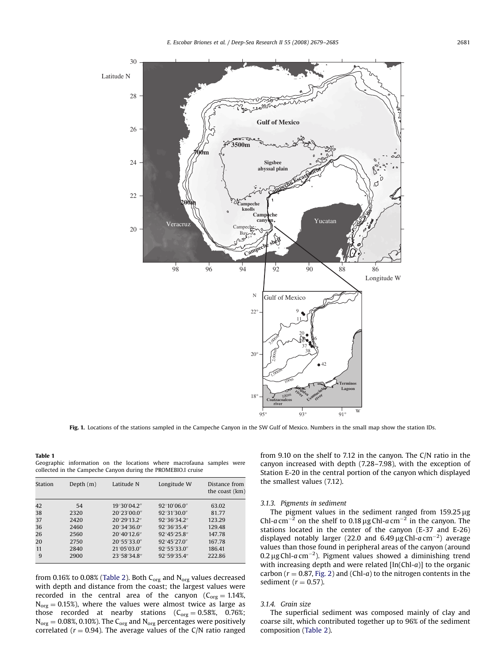<span id="page-2-0"></span>

Fig. 1. Locations of the stations sampled in the Campeche Canyon in the SW Gulf of Mexico. Numbers in the small map show the station IDs.

## Table 1

Geographic information on the locations where macrofauna samples were collected in the Campeche Canyon during the PROMEBIO.I cruise

| Station | Depth $(m)$ | Latitude N            | Longitude W           | Distance from<br>the coast (km) |
|---------|-------------|-----------------------|-----------------------|---------------------------------|
| 42      | 54          | 19°30'04.2"           | $92^{\circ}10'06.0''$ | 63.02                           |
| 38      | 2320        | 20°23′00.0″           | 92°31′30.0″           | 81.77                           |
| 37      | 2420        | 20°29'13.2"           | 92°36′34.2″           | 123.29                          |
| 36      | 2460        | $20^{\circ}34'36.0''$ | 92°36′35.4″           | 129.48                          |
| 26      | 2560        | $20^{\circ}40'12.6''$ | 92°45'25.8"           | 147.78                          |
| 20      | 2750        | 20°55′33.0"           | 92°45'27.0"           | 167.78                          |
| 11      | 2840        | 21°05′03.0″           | 92°55'33.0"           | 186.41                          |
| 9       | 2900        | 23°58′34.8″           | 92°59′35.4″           | 222.86                          |

from 0.16% to 0.08% [\(Table 2](#page-3-0)). Both  $C_{org}$  and  $N_{org}$  values decreased with depth and distance from the coast; the largest values were recorded in the central area of the canyon ( $C_{org} = 1.14\%$ ,  $N<sub>org</sub> = 0.15%)$ , where the values were almost twice as large as those recorded at nearby stations  $(C_{org} = 0.58\%, 0.76\%;$  $N_{org} = 0.08\%, 0.10\%).$  The C<sub>org</sub> and  $N_{org}$  percentages were positively correlated ( $r = 0.94$ ). The average values of the C/N ratio ranged from 9.10 on the shelf to 7.12 in the canyon. The C/N ratio in the canyon increased with depth (7.28–7.98), with the exception of Station E-20 in the central portion of the canyon which displayed the smallest values (7.12).

# 3.1.3. Pigments in sediment

The pigment values in the sediment ranged from  $159.25 \,\mu g$ Chl-a cm<sup>-2</sup> on the shelf to 0.18  $\mu$ g Chl-a cm<sup>-2</sup> in the canyon. The stations located in the center of the canyon (E-37 and E-26) displayed notably larger (22.0 and  $6.49 \,\mu$ g Chl-a cm<sup>-2</sup>) average values than those found in peripheral areas of the canyon (around  $0.2 \,\mu$ g Chl-a cm<sup>-2</sup>). Pigment values showed a diminishing trend with increasing depth and were related [ln(Chl-a)] to the organic carbon ( $r = 0.87$ , [Fig. 2](#page-3-0)) and (Chl-a) to the nitrogen contents in the sediment ( $r = 0.57$ ).

#### 3.1.4. Grain size

The superficial sediment was composed mainly of clay and coarse silt, which contributed together up to 96% of the sediment composition ([Table 2](#page-3-0)).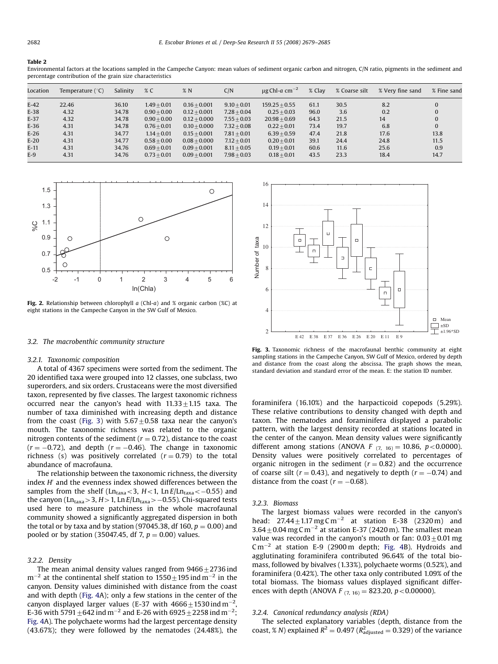#### <span id="page-3-0"></span>Table 2

Environmental factors at the locations sampled in the Campeche Canyon: mean values of sediment organic carbon and nitrogen, C/N ratio, pigments in the sediment and percentage contribution of the grain size characteristics

| Location | Temperature $(^{\circ}C)$ | Salinity | % C           | %N             | C/N           | $\mu$ g Chl-a cm <sup>-2</sup> | % Clay | % Coarse silt | % Very fine sand | % Fine sand  |
|----------|---------------------------|----------|---------------|----------------|---------------|--------------------------------|--------|---------------|------------------|--------------|
| $E-42$   | 22.46                     | 36.10    | $1.49 + 0.01$ | $0.16 + 0.001$ | $9.10 + 0.01$ | $159.25 + 0.55$                | 61.1   | 30.5          | 8.2              | 0            |
| $E-38$   | 4.32                      | 34.78    | $0.90 + 0.00$ | $0.12 + 0.001$ | $7.28 + 0.04$ | $0.25 + 0.03$                  | 96.0   | 3.6           | 0.2              | 0            |
| $E-37$   | 4.32                      | 34.78    | $0.90 + 0.00$ | $0.12 + 0.000$ | $7.55 + 0.03$ | $20.98 + 0.69$                 | 64.3   | 21.5          | 14               | $\mathbf{0}$ |
| $E-36$   | 4.31                      | 34.78    | $0.76 + 0.01$ | $0.10 + 0.000$ | $7.32 + 0.08$ | $0.22 + 0.01$                  | 73.4   | 19.7          | 6.8              | $\mathbf{0}$ |
| $E-26$   | 4.31                      | 34.77    | $1.14 + 0.01$ | $0.15 + 0.001$ | $7.81 + 0.01$ | $6.39 + 0.59$                  | 47.4   | 21.8          | 17.6             | 13.8         |
| $E-20$   | 4.31                      | 34.77    | $0.58 + 0.00$ | $0.08 + 0.000$ | $7.12 + 0.01$ | $0.20 + 0.01$                  | 39.1   | 24.4          | 24.8             | 11.5         |
| $E-11$   | 4.31                      | 34.76    | $0.69 + 0.01$ | $0.09 + 0.001$ | $8.11 + 0.05$ | $0.19 + 0.01$                  | 60.6   | 11.6          | 25.6             | 0.9          |
| $E-9$    | 4.31                      | 34.76    | $0.73 + 0.01$ | $0.09 + 0.001$ | $7.98 + 0.03$ | $0.18 + 0.01$                  | 43.5   | 23.3          | 18.4             | 14.7         |



Fig. 2. Relationship between chlorophyll  $a$  (Chl- $a$ ) and % organic carbon (%C) at eight stations in the Campeche Canyon in the SW Gulf of Mexico.

#### 3.2. The macrobenthic community structure

#### 3.2.1. Taxonomic composition

A total of 4367 specimens were sorted from the sediment. The 20 identified taxa were grouped into 12 classes, one subclass, two superorders, and six orders. Crustaceans were the most diversified taxon, represented by five classes. The largest taxonomic richness occurred near the canyon's head with  $11.33 \pm 1.15$  taxa. The number of taxa diminished with increasing depth and distance from the coast (Fig. 3) with  $5.67 \pm 0.58$  taxa near the canyon's mouth. The taxonomic richness was related to the organic nitrogen contents of the sediment ( $r = 0.72$ ), distance to the coast  $(r=-0.72)$ , and depth  $(r=-0.46)$ . The change in taxonomic richness (s) was positively correlated  $(r = 0.79)$  to the total abundance of macrofauna.

The relationship between the taxonomic richness, the diversity index  $H'$  and the evenness index showed differences between the samples from the shelf (Ln<sub>taxa</sub><3, H<1, Ln $E/\rm{Ln_{taxa}}$ <–0.55) and the canyon (Ln<sub>taxa</sub> > 3, H > 1, Ln E/Ln<sub>taxa</sub> >  $-$ 0.55). Chi-squared tests used here to measure patchiness in the whole macrofaunal community showed a significantly aggregated dispersion in both the total or by taxa and by station (97045.38, df 160,  $p = 0.00$ ) and pooled or by station (35047.45, df 7,  $p = 0.00$ ) values.

## 3.2.2. Density

The mean animal density values ranged from  $9466+2736$  ind  $\rm m^{-2}$  at the continental shelf station to  $\rm 1550\pm195$  ind  $\rm m^{-2}$  in the canyon. Density values diminished with distance from the coast and with depth [\(Fig. 4A](#page-4-0)); only a few stations in the center of the canyon displayed larger values (E-37 with 4666 $\pm$ 1530 $\,$ ind $\,$ m $^{-2}$ , E-36 with 5791  $\pm$ 642 ind m $^{-2}$  and E-26 with 6925  $\pm$  2258 ind m $^{-2};$ [Fig. 4A](#page-4-0)). The polychaete worms had the largest percentage density (43.67%); they were followed by the nematodes (24.48%), the



Fig. 3. Taxonomic richness of the macrofaunal benthic community at eight sampling stations in the Campeche Canyon, SW Gulf of Mexico, ordered by depth and distance from the coast along the abscissa. The graph shows the mean, standard deviation and standard error of the mean. E: the station ID number.

foraminifera (16.10%) and the harpacticoid copepods (5.29%). These relative contributions to density changed with depth and taxon. The nematodes and foraminifera displayed a parabolic pattern, with the largest density recorded at stations located in the center of the canyon. Mean density values were significantly different among stations (ANOVA F  $_{(7, 16)} = 10.86$ , p < 0.0000). Density values were positively correlated to percentages of organic nitrogen in the sediment ( $r = 0.82$ ) and the occurrence of coarse silt ( $r = 0.43$ ), and negatively to depth ( $r = -0.74$ ) and distance from the coast ( $r = -0.68$ ).

# 3.2.3. Biomass

The largest biomass values were recorded in the canyon's head:  $27.44 \pm 1.17$  mg C m<sup>-2</sup> at station E-38 (2320 m) and  $3.64\pm0.04$  mg C m<sup>-2</sup> at station E-37 (2420 m). The smallest mean value was recorded in the canyon's mouth or fan:  $0.03\pm0.01$  mg  $\text{C m}^{-2}$  at station E-9 (2900 m depth; [Fig. 4](#page-4-0)B). Hydroids and agglutinating foraminifera contributed 96.64% of the total biomass, followed by bivalves (1.33%), polychaete worms (0.52%), and foraminifera (0.42%). The other taxa only contributed 1.09% of the total biomass. The biomass values displayed significant differences with depth (ANOVA  $F_{(7, 16)} = 823.20, p < 0.00000$ ).

#### 3.2.4. Canonical redundancy analysis (RDA)

The selected explanatory variables (depth, distance from the coast, % N) explained  $R^2 = 0.497$  ( $R^2_{\text{adjusted}} = 0.329$ ) of the variance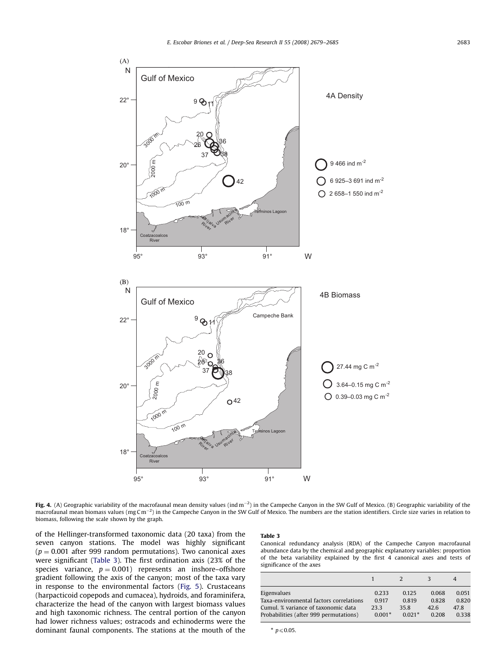<span id="page-4-0"></span>

Fig. 4. (A) Geographic variability of the macrofaunal mean density values (ind m<sup>-2</sup>) in the Campeche Canyon in the SW Gulf of Mexico. (B) Geographic variability of the macrofaunal mean biomass values (mgCm<sup>-2</sup>) in the Campeche Canyon in the SW Gulf of Mexico. The numbers are the station identifiers. Circle size varies in relation to biomass, following the scale shown by the graph.

of the Hellinger-transformed taxonomic data (20 taxa) from the seven canyon stations. The model was highly significant  $(p = 0.001$  after 999 random permutations). Two canonical axes were significant (Table 3). The first ordination axis (23% of the species variance,  $p = 0.001$ ) represents an inshore–offshore gradient following the axis of the canyon; most of the taxa vary in response to the environmental factors ([Fig. 5](#page-5-0)). Crustaceans (harpacticoid copepods and cumacea), hydroids, and foraminifera, characterize the head of the canyon with largest biomass values and high taxonomic richness. The central portion of the canyon had lower richness values; ostracods and echinoderms were the dominant faunal components. The stations at the mouth of the

# Table 3

Canonical redundancy analysis (RDA) of the Campeche Canyon macrofaunal abundance data by the chemical and geographic explanatory variables: proportion of the beta variability explained by the first 4 canonical axes and tests of significance of the axes

|                                         |          |          |       | 4     |
|-----------------------------------------|----------|----------|-------|-------|
| Eigenvalues                             | 0.233    | 0.125    | 0.068 | 0.051 |
| Taxa-environmental factors correlations | 0.917    | 0.819    | 0.828 | 0.820 |
| Cumul. % variance of taxonomic data     | 23.3     | 35.8     | 42.6  | 47.8  |
| Probabilities (after 999 permutations)  | $0.001*$ | $0.021*$ | 0.208 | 0.338 |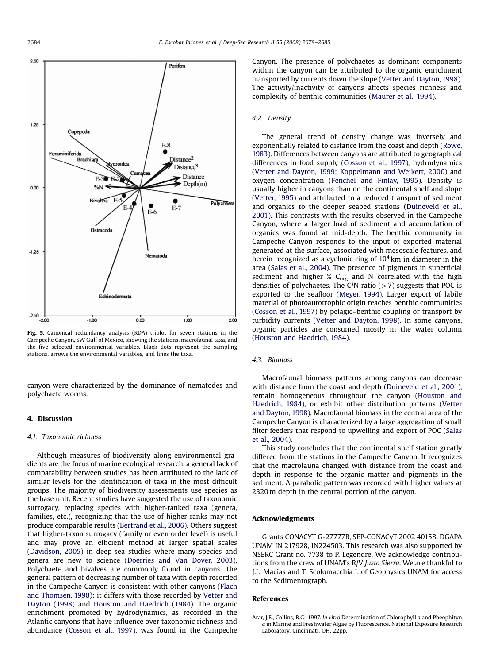<span id="page-5-0"></span>

Fig. 5. Canonical redundancy analysis (RDA) triplot for seven stations in the Campeche Canyon, SW Gulf of Mexico, showing the stations, macrofaunal taxa, and the five selected environmental variables. Black dots represent the sampling stations, arrows the environmental variables, and lines the taxa.

canyon were characterized by the dominance of nematodes and polychaete worms.

# 4. Discussion

## 4.1. Taxonomic richness

Although measures of biodiversity along environmental gradients are the focus of marine ecological research, a general lack of comparability between studies has been attributed to the lack of similar levels for the identification of taxa in the most difficult groups. The majority of biodiversity assessments use species as the base unit. Recent studies have suggested the use of taxonomic surrogacy, replacing species with higher-ranked taxa (genera, families, etc.), recognizing that the use of higher ranks may not produce comparable results [\(Bertrand et al., 2006](#page-6-0)). Others suggest that higher-taxon surrogacy (family or even order level) is useful and may prove an efficient method at larger spatial scales ([Davidson, 2005\)](#page-6-0) in deep-sea studies where many species and genera are new to science [\(Doerries and Van Dover, 2003\)](#page-6-0). Polychaete and bivalves are commonly found in canyons. The general pattern of decreasing number of taxa with depth recorded in the Campeche Canyon is consistent with other canyons ([Flach](#page-6-0) [and Thomsen, 1998](#page-6-0)); it differs with those recorded by [Vetter and](#page-6-0) [Dayton \(1998\)](#page-6-0) and [Houston and Haedrich \(1984\)](#page-6-0). The organic enrichment promoted by hydrodynamics, as recorded in the Atlantic canyons that have influence over taxonomic richness and abundance [\(Cosson et al., 1997\)](#page-6-0), was found in the Campeche Canyon. The presence of polychaetes as dominant components within the canyon can be attributed to the organic enrichment transported by currents down the slope [\(Vetter and Dayton, 1998\)](#page-6-0). The activity/inactivity of canyons affects species richness and complexity of benthic communities ([Maurer et al., 1994](#page-6-0)).

## 4.2. Density

The general trend of density change was inversely and exponentially related to distance from the coast and depth [\(Rowe,](#page-6-0) [1983](#page-6-0)). Differences between canyons are attributed to geographical differences in food supply [\(Cosson et al., 1997](#page-6-0)), hydrodynamics ([Vetter and Dayton, 1999;](#page-6-0) [Koppelmann and Weikert, 2000](#page-6-0)) and oxygen concentration ([Fenchel and Finlay, 1995\)](#page-6-0). Density is usually higher in canyons than on the continental shelf and slope ([Vetter, 1995](#page-6-0)) and attributed to a reduced transport of sediment and organics to the deeper seabed stations [\(Duineveld et al.,](#page-6-0) [2001\)](#page-6-0). This contrasts with the results observed in the Campeche Canyon, where a larger load of sediment and accumulation of organics was found at mid-depth. The benthic community in Campeche Canyon responds to the input of exported material generated at the surface, associated with mesoscale features, and herein recognized as a cyclonic ring of  $10<sup>4</sup>$  km in diameter in the area [\(Salas et al., 2004\)](#page-6-0). The presence of pigments in superficial sediment and higher  $\%$  C<sub>org</sub> and N correlated with the high densities of polychaetes. The C/N ratio  $(>7)$  suggests that POC is exported to the seafloor ([Meyer, 1994\)](#page-6-0). Larger export of labile material of photoautotrophic origin reaches benthic communities ([Cosson et al., 1997](#page-6-0)) by pelagic–benthic coupling or transport by turbidity currents [\(Vetter and Dayton, 1998](#page-6-0)). In some canyons, organic particles are consumed mostly in the water column ([Houston and Haedrich, 1984](#page-6-0)).

#### 4.3. Biomass

Macrofaunal biomass patterns among canyons can decrease with distance from the coast and depth ([Duineveld et al., 2001\)](#page-6-0), remain homogeneous throughout the canyon ([Houston and](#page-6-0) [Haedrich, 1984](#page-6-0)), or exhibit other distribution patterns [\(Vetter](#page-6-0) [and Dayton, 1998\)](#page-6-0). Macrofaunal biomass in the central area of the Campeche Canyon is characterized by a large aggregation of small filter feeders that respond to upwelling and export of POC ([Salas](#page-6-0) [et al., 2004\)](#page-6-0).

This study concludes that the continental shelf station greatly differed from the stations in the Campeche Canyon. It recognizes that the macrofauna changed with distance from the coast and depth in response to the organic matter and pigments in the sediment. A parabolic pattern was recorded with higher values at 2320 m depth in the central portion of the canyon.

## Acknowledgments

Grants CONACYT G-27777B, SEP-CONACyT 2002 40158, DGAPA UNAM IN 217928, IN224503. This research was also supported by NSERC Grant no. 7738 to P. Legendre. We acknowledge contributions from the crew of UNAM's R/V Justo Sierra. We are thankful to J.L. Macías and T. Scolomacchia I. of Geophysics UNAM for access to the Sedimentograph.

#### References

Arar, J.E., Collins, B.G., 1997. In vitro Determination of Chlorophyll a and Pheophityn a in Marine and Freshwater Algae by Fluorescence. National Exposure Research Laboratory, Cincinnati, OH, 22pp.